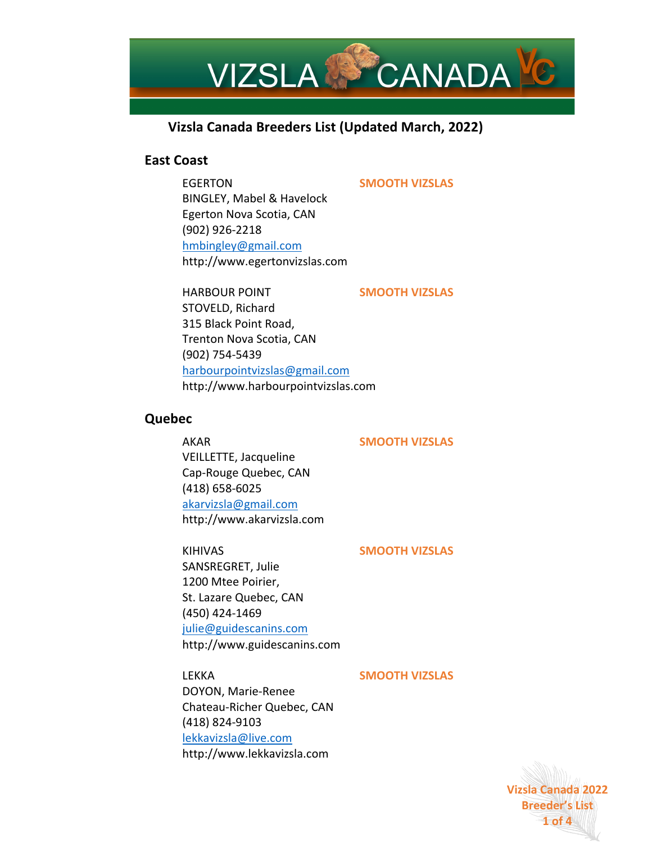

# **Vizsla Canada Breeders List (Updated March, 2022)**

## **East Coast**

## EGERTON **SMOOTH VIZSLAS**

BINGLEY, Mabel & Havelock Egerton Nova Scotia, CAN (902) 926-2218 hmbingley@gmail.com http://www.egertonvizslas.com

HARBOUR POINT **SMOOTH VIZSLAS**

STOVELD, Richard 315 Black Point Road, Trenton Nova Scotia, CAN (902) 754-5439 harbourpointvizslas@gmail.com http://www.harbourpointvizslas.com

## **Quebec**

## AKAR **SMOOTH VIZSLAS**

VEILLETTE, Jacqueline Cap-Rouge Quebec, CAN (418) 658-6025 akarvizsla@gmail.com http://www.akarvizsla.com

KIHIVAS **SMOOTH VIZSLAS** SANSREGRET, Julie 1200 Mtee Poirier,

St. Lazare Quebec, CAN (450) 424-1469 julie@guidescanins.com http://www.guidescanins.com

## LEKKA **SMOOTH VIZSLAS**

DOYON, Marie-Renee Chateau-Richer Quebec, CAN (418) 824-9103 lekkavizsla@live.com http://www.lekkavizsla.com

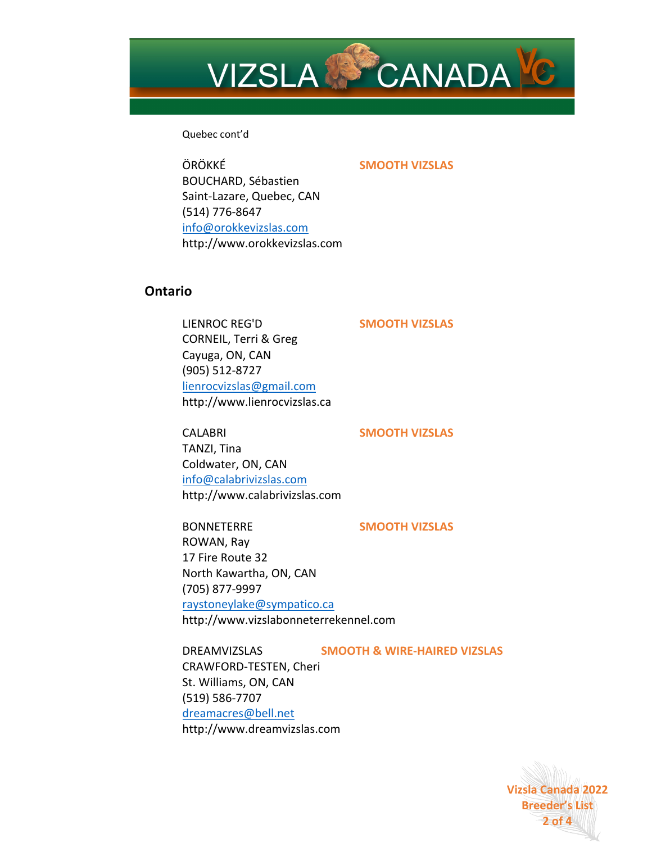

Quebec cont'd

ÖRÖKKÉ **SMOOTH VIZSLAS** BOUCHARD, Sébastien Saint-Lazare, Quebec, CAN (514) 776-8647 info@orokkevizslas.com http://www.orokkevizslas.com

## **Ontario**

LIENROC REG'D **SMOOTH VIZSLAS** CORNEIL, Terri & Greg Cayuga, ON, CAN (905) 512-8727 lienrocvizslas@gmail.com http://www.lienrocvizslas.ca

CALABRI **SMOOTH VIZSLAS** TANZI, Tina Coldwater, ON, CAN info@calabrivizslas.com http://www.calabrivizslas.com

BONNETERRE **SMOOTH VIZSLAS** ROWAN, Ray 17 Fire Route 32 North Kawartha, ON, CAN (705) 877-9997 raystoneylake@sympatico.ca http://www.vizslabonneterrekennel.com

DREAMVIZSLAS **SMOOTH & WIRE-HAIRED VIZSLAS** CRAWFORD-TESTEN, Cheri St. Williams, ON, CAN (519) 586-7707 dreamacres@bell.net http://www.dreamvizslas.com

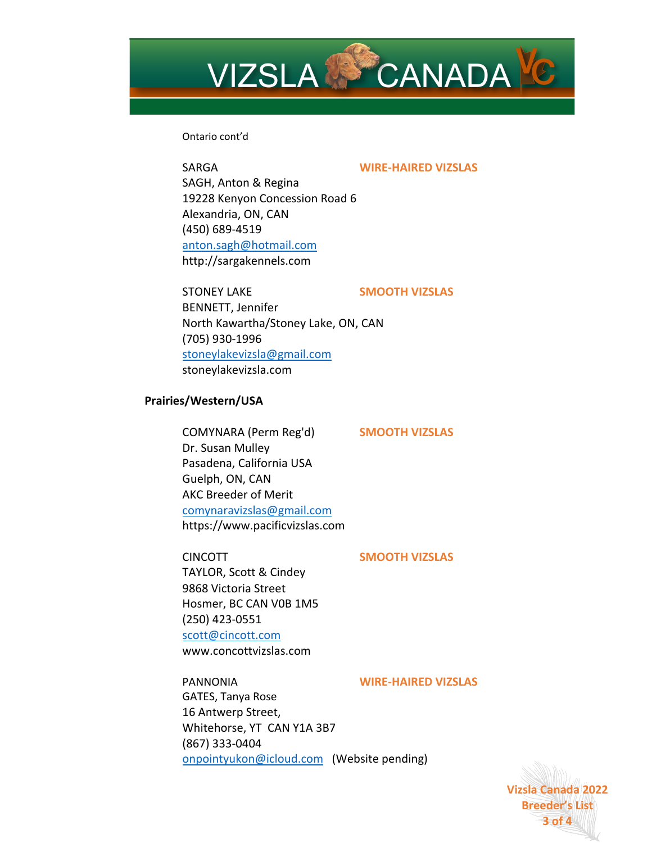

### Ontario cont'd

### SARGA **WIRE-HAIRED VIZSLAS**

SAGH, Anton & Regina 19228 Kenyon Concession Road 6 Alexandria, ON, CAN (450) 689-4519 anton.sagh@hotmail.com http://sargakennels.com

STONEY LAKE **SMOOTH VIZSLAS**  BENNETT, Jennifer North Kawartha/Stoney Lake, ON, CAN (705) 930-1996 stoneylakevizsla@gmail.com stoneylakevizsla.com

#### **Prairies/Western/USA**

COMYNARA (Perm Reg'd) **SMOOTH VIZSLAS** Dr. Susan Mulley Pasadena, California USA Guelph, ON, CAN AKC Breeder of Merit comynaravizslas@gmail.com https://www.pacificvizslas.com

### CINCOTT **SMOOTH VIZSLAS**

TAYLOR, Scott & Cindey 9868 Victoria Street Hosmer, BC CAN V0B 1M5 (250) 423-0551 scott@cincott.com www.concottvizslas.com

PANNONIA **WIRE-HAIRED VIZSLAS**

GATES, Tanya Rose 16 Antwerp Street, Whitehorse, YT CAN Y1A 3B7 (867) 333-0404 onpointyukon@icloud.com (Website pending)